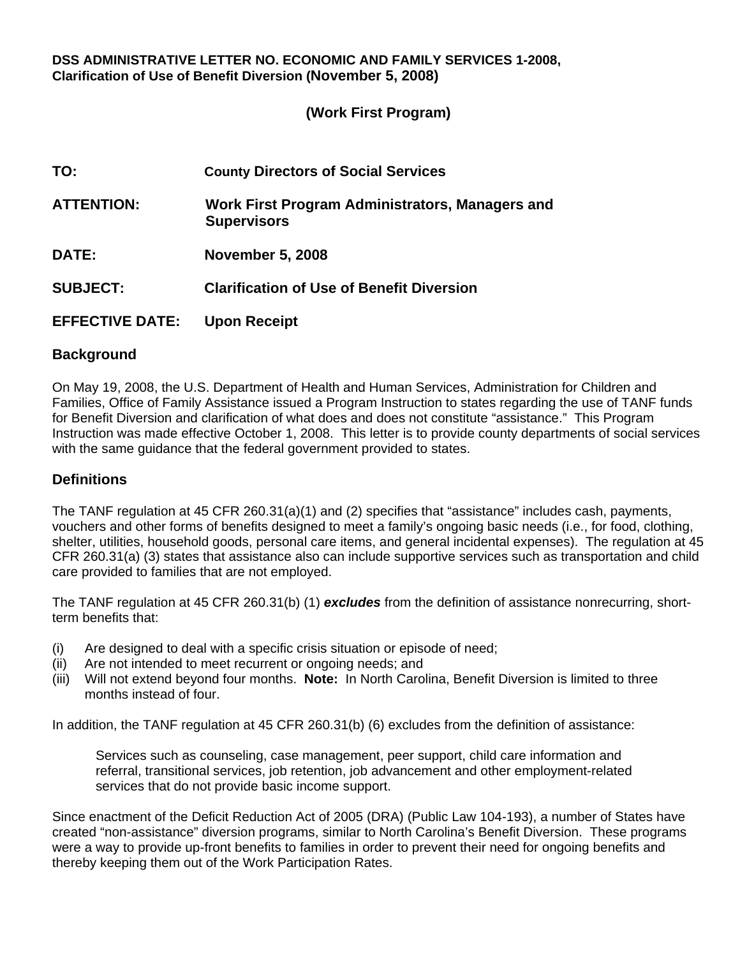#### **DSS ADMINISTRATIVE LETTER NO. ECONOMIC AND FAMILY SERVICES 1-2008, Clarification of Use of Benefit Diversion (November 5, 2008)**

### **(Work First Program)**

| TO:                    | <b>County Directors of Social Services</b>                            |
|------------------------|-----------------------------------------------------------------------|
| <b>ATTENTION:</b>      | Work First Program Administrators, Managers and<br><b>Supervisors</b> |
| <b>DATE:</b>           | <b>November 5, 2008</b>                                               |
| <b>SUBJECT:</b>        | <b>Clarification of Use of Benefit Diversion</b>                      |
| <b>EFFECTIVE DATE:</b> | <b>Upon Receipt</b>                                                   |

#### **Background**

On May 19, 2008, the U.S. Department of Health and Human Services, Administration for Children and Families, Office of Family Assistance issued a Program Instruction to states regarding the use of TANF funds for Benefit Diversion and clarification of what does and does not constitute "assistance." This Program Instruction was made effective October 1, 2008. This letter is to provide county departments of social services with the same guidance that the federal government provided to states.

### **Definitions**

The TANF regulation at 45 CFR 260.31(a)(1) and (2) specifies that "assistance" includes cash, payments, vouchers and other forms of benefits designed to meet a family's ongoing basic needs (i.e., for food, clothing, shelter, utilities, household goods, personal care items, and general incidental expenses). The regulation at 45 CFR 260.31(a) (3) states that assistance also can include supportive services such as transportation and child care provided to families that are not employed.

The TANF regulation at 45 CFR 260.31(b) (1) *excludes* from the definition of assistance nonrecurring, shortterm benefits that:

- (i) Are designed to deal with a specific crisis situation or episode of need;
- (ii) Are not intended to meet recurrent or ongoing needs; and
- (iii) Will not extend beyond four months. **Note:** In North Carolina, Benefit Diversion is limited to three months instead of four.

In addition, the TANF regulation at 45 CFR 260.31(b) (6) excludes from the definition of assistance:

Services such as counseling, case management, peer support, child care information and referral, transitional services, job retention, job advancement and other employment-related services that do not provide basic income support.

Since enactment of the Deficit Reduction Act of 2005 (DRA) (Public Law 104-193), a number of States have created "non-assistance" diversion programs, similar to North Carolina's Benefit Diversion. These programs were a way to provide up-front benefits to families in order to prevent their need for ongoing benefits and thereby keeping them out of the Work Participation Rates.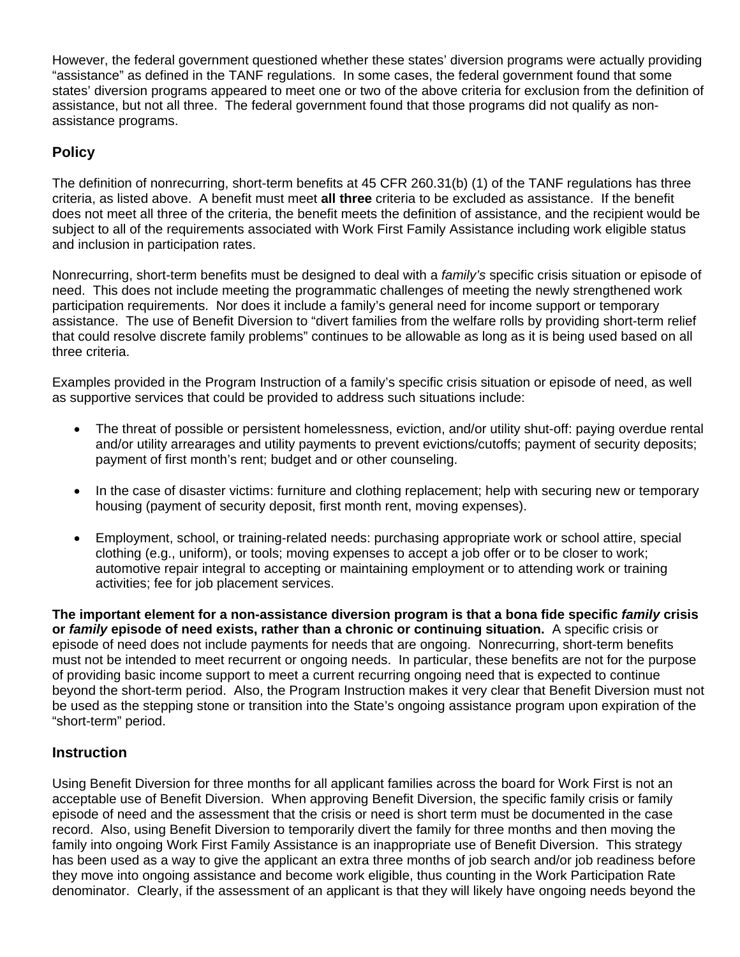However, the federal government questioned whether these states' diversion programs were actually providing "assistance" as defined in the TANF regulations. In some cases, the federal government found that some states' diversion programs appeared to meet one or two of the above criteria for exclusion from the definition of assistance, but not all three. The federal government found that those programs did not qualify as nonassistance programs.

# **Policy**

The definition of nonrecurring, short-term benefits at 45 CFR 260.31(b) (1) of the TANF regulations has three criteria, as listed above. A benefit must meet **all three** criteria to be excluded as assistance. If the benefit does not meet all three of the criteria, the benefit meets the definition of assistance, and the recipient would be subject to all of the requirements associated with Work First Family Assistance including work eligible status and inclusion in participation rates.

Nonrecurring, short-term benefits must be designed to deal with a *family's* specific crisis situation or episode of need. This does not include meeting the programmatic challenges of meeting the newly strengthened work participation requirements. Nor does it include a family's general need for income support or temporary assistance. The use of Benefit Diversion to "divert families from the welfare rolls by providing short-term relief that could resolve discrete family problems" continues to be allowable as long as it is being used based on all three criteria.

Examples provided in the Program Instruction of a family's specific crisis situation or episode of need, as well as supportive services that could be provided to address such situations include:

- The threat of possible or persistent homelessness, eviction, and/or utility shut-off: paying overdue rental and/or utility arrearages and utility payments to prevent evictions/cutoffs; payment of security deposits; payment of first month's rent; budget and or other counseling.
- In the case of disaster victims: furniture and clothing replacement; help with securing new or temporary housing (payment of security deposit, first month rent, moving expenses).
- Employment, school, or training-related needs: purchasing appropriate work or school attire, special clothing (e.g., uniform), or tools; moving expenses to accept a job offer or to be closer to work; automotive repair integral to accepting or maintaining employment or to attending work or training activities; fee for job placement services.

**The important element for a non-assistance diversion program is that a bona fide specific** *family* **crisis or** *family* **episode of need exists, rather than a chronic or continuing situation.** A specific crisis or episode of need does not include payments for needs that are ongoing. Nonrecurring, short-term benefits must not be intended to meet recurrent or ongoing needs. In particular, these benefits are not for the purpose of providing basic income support to meet a current recurring ongoing need that is expected to continue beyond the short-term period. Also, the Program Instruction makes it very clear that Benefit Diversion must not be used as the stepping stone or transition into the State's ongoing assistance program upon expiration of the "short-term" period.

## **Instruction**

Using Benefit Diversion for three months for all applicant families across the board for Work First is not an acceptable use of Benefit Diversion. When approving Benefit Diversion, the specific family crisis or family episode of need and the assessment that the crisis or need is short term must be documented in the case record. Also, using Benefit Diversion to temporarily divert the family for three months and then moving the family into ongoing Work First Family Assistance is an inappropriate use of Benefit Diversion. This strategy has been used as a way to give the applicant an extra three months of job search and/or job readiness before they move into ongoing assistance and become work eligible, thus counting in the Work Participation Rate denominator. Clearly, if the assessment of an applicant is that they will likely have ongoing needs beyond the